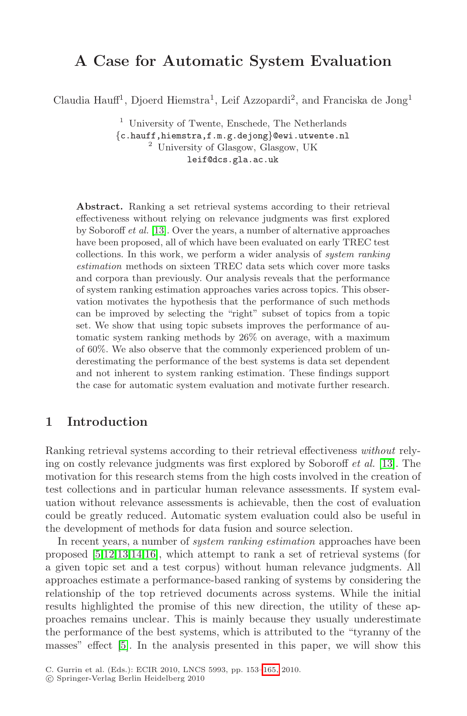# **A Case for Automatic System Evaluation**

Claudia Hauff<sup>1</sup>, Djoerd Hiemstra<sup>1</sup>, Leif Azzopardi<sup>2</sup>, and Franciska de Jong<sup>1</sup>

 $1$  University of Twente, Enschede, The Netherlands *{*c.hauff,hiemstra,f.m.g.dejong*}*@ewi.utwente.nl <sup>2</sup> University of Glasgow, Glasgow, UK leif@dcs.gla.ac.uk

**Abstract.** Ranking a set retrieval systems according to their retrieval effectiveness without relying on relevance judgments was first explored by Soboroff *et al.* [13]. Over the years, a number of alternative approaches have been proposed, all of which have been evaluated on early TREC test collections. In this work, we perform a wider analysis of *system ranking estimation* methods on sixteen TREC data sets which cover more tasks and corpora than previously. Our analysis reveals that the performance of system ranking estimation approaches varies across topics. This observation motivates the hypothesis that the performance of such methods can be improved by selecting the "right" subset of topics from a topic set. We show that using topic subsets improves the performance of automatic system ranking methods by 26% on average, with a maximum of 60%. We also observe that the commonly experienced problem of underestimating the performance of the best system[s is](#page-12-0) data set dependent and not inherent to system ranking estimation. These findings support the case for automatic system evaluation and motivate further research.

## **1 Introduction**

[R](#page-12-1)[ank](#page-12-2)ing retrieval systems according to their retrieval effectiveness *without* relying on costly relevance judgments was first explored by Soboroff *et al.* [13]. The motivation for this research stems from the high costs involved in the creation of test collections and in particular human relevance assessments. If system evaluation without relevance assessments is achievable, then the cost of evaluation could be greatly reduced. Automatic system evaluation could also be useful in the development of methods for data fusion and source selection.

In recent years, a number of *system ranking estimation* approaches have been proposed [5,12,13,14,16], which attempt to rank a set of retrieval systems (for a given topic set and a te[st c](#page-12-3)orpus) without human relevance judgments. All approaches estimate a performance-based ranking of systems by considering the relationship of the top retrieved documents across systems. While the initial results highlighted the promise of this new direction, the utility of these approaches remains unclear. This is mainly because they usually underestimate the performance of the best systems, which is attributed to the "tyranny of the masses" effect [5]. In the analysis presented in this paper, we will show this

C. Gurrin et al. (Eds.): ECIR 2010, LNCS 5993, pp. 153–165, 2010.

<sup>-</sup>c Springer-Verlag Berlin Heidelberg 2010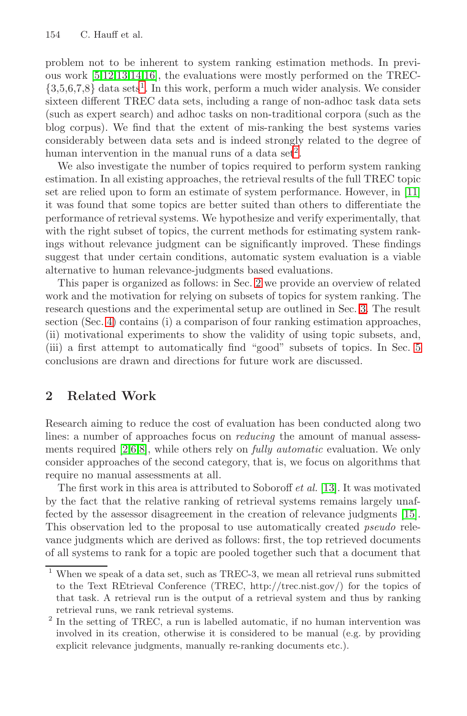problem not to be inherent to s[ys](#page-1-0)tem ranking estimation methods. In previous work [5,12,13,14,16], the evaluations were mostly performed on the TREC-  $\{3,5,6,7,8\}$  data sets<sup>1</sup>. In this work, perform a much wide[r an](#page-12-4)alysis. We consider sixteen different TREC data sets, including a range of non-adhoc task data sets (such as expert search) and adhoc tasks on non-traditional corpora (such as the blog corpus). We find that the extent of mis-ranking the best systems varies considerably between data sets and is indeed strongly related to the degree of human intervention in the manual runs of a data set<sup>2</sup>.

We also investigate the number of topics required to perform system ranking estimation. In all existing [ap](#page-1-1)proaches, the retrieval results of the full TREC topic set are relied upon to form an estimate of system performance. However, in [11] it was found that some topics are better suite[d t](#page-3-0)han others to differentiate the performance of retrieval systems. We hypothesize and verify experimentally, that with the right subset of topics, the current methods for estimating system rankings without relevance judgment can be significantly impr[ov](#page-11-0)ed. These findings suggest that under certain conditions, automatic system evaluation is a viable alternative to human relevance-judgments based evaluations.

<span id="page-1-1"></span>This paper is organized as follows: in Sec. 2 we provide an overview of related work and the motivation for relying on subsets of topics for system ranking. The research questions and the experimental setup are outlined in Sec. 3. The result section (Sec. 4) contains (i) a comparison of four ranking estimation approaches, (ii) motivational experiments to show the validity of using topic subsets, and, [\(](#page-11-1)[iii](#page-12-5)) a first attempt to automatically find "good" subsets of topics. In Sec. 5 conclusions are drawn and directions for future work are discussed.

## **2 Related Work**

Research aiming to reduce the cost of evaluation has be[en](#page-12-6) [c](#page-12-6)onducted along two lines: a number of approaches focus on *reducing* the amount of manual assessments required [2,6,8], while others rely on *fully automatic* evaluation. We only consider approaches of the second category, that is, we focus on algorithms that require no manual assessments at all.

<span id="page-1-0"></span>The first work in this area is attributed to Soboroff *et al.* [13]. It was motivated by the fact that the relative ranking of retrieval systems remains largely unaffected by the assessor disagreement in the creation of relevance judgments [15]. This observation led to the proposal to use automatically created *pseudo* relevance judgments which are derived as follows: first, the top retrieved documents of all systems to rank for a topic are pooled together such that a document that

<sup>1</sup> When we speak of a data set, such as TREC-3, we mean all retrieval runs submitted to the Text REtrieval Conference (TREC, http://trec.nist.gov/) for the topics of that task. A retrieval run is the output of a retrieval system and thus by ranking retrieval runs, we rank retrieval systems.

<sup>&</sup>lt;sup>2</sup> In the setting of TREC, a run is labelled automatic, if no human intervention was involved in its creation, otherwise it is considered to be manual (e.g. by providing explicit relevance judgments, manually re-ranking documents etc.).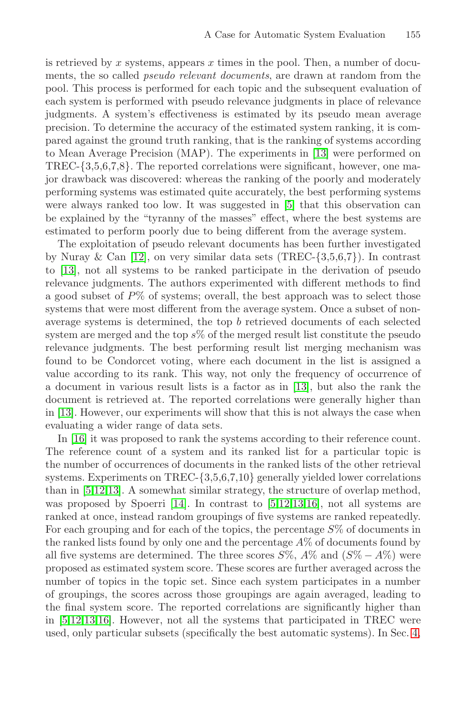is retrieved by x systems, appears x t[ime](#page-12-0)s in the pool. Then, a number of documents, the so called *pseudo relevant documents*, are drawn at random from the pool. This process is performed for each topic and the subsequent evaluation of each system is performed with [pse](#page-11-2)udo relevance judgments in place of relevance judgments. A system's effectiveness is estimated by its pseudo mean average precision. To determine the accuracy of the estimated system ranking, it is compared against the ground truth ranking, that is the ranking of systems according [to](#page-12-7) Mean Average Precision (MAP). The experiments in [13] were performed on TREC-{3,5,6,7,8}. The reported correlations were significant, however, one major drawback was discovered: whereas the ranking of the poorly and moderately performing systems was estimated quite accurately, the best performing systems were always ranked too low. It was suggested in [5] that this observation can be explained by the "tyranny of the masses" effect, where the best systems are estimated to perform poorly due to being different from the average system.

The exploitation of pseudo relevant documents has been further investigated by Nuray & Can  $[12]$ , on very similar data sets  $(TREC - \{3,5,6,7\})$ . In contrast to [13], not all systems to be ranked participate in the derivation of pseudo relevance judgments. The author[s ex](#page-12-0)perimented with different methods to find a good subset of  $P\%$  of systems; overall, the best approach was to select those systems that were most different from the average system. Once a subset of nonaverage systems is determined, the top b retrieved documents of each selected system are merged and the top  $s\%$  of the merged result list constitute the pseudo relevance judgments. The best performing result list merging mechanism was found to be Condorcet voting, where each document in the list is assigned a value according to its rank. This way, not only the frequency of occurrence of a document in various result lists is a factor as in [13], but also the rank the docume[nt i](#page-12-1)s retrieved at. T[he](#page-11-2) [re](#page-12-7)[por](#page-12-0)[ted](#page-12-2) correlations were generally higher than in [13]. However, our experiments will show that this is not always the case when evaluating a wider range of data sets.

In [16] it was proposed to rank the systems according to their reference count. The reference count of a system and its ranked list for a particular topic is the number of occurrences of documents in the ranked lists of the other retrieval systems. Experiments on TREC-{3,5,6,7,10} generally yielded lower correlations than in [5,12,13]. A somewhat similar strategy, the structure of overlap method, was proposed by Spoerri [14]. In contrast to [5,12,13,16], not all systems are ranked at once, instead random groupings of five systems are ranked repeatedly. For each grouping and for each of the topics, the percentag[e](#page-5-0) S% of documents in the ranked lists found by only one and the percentage  $A\%$  of documents found by all five systems are determined. The three scores  $S\%$ ,  $A\%$  and  $(S\% - A\%)$  were proposed as estimated system score. These scores are further averaged across the number of topics in the topic set. Since each system participates in a number of groupings, the scores across those groupings are again averaged, leading to the final system score. The reported correlations are significantly higher than in [5,12,13,16]. However, not all the systems that participated in TREC were used, only particular subsets (specifically the best automatic systems). In Sec. 4,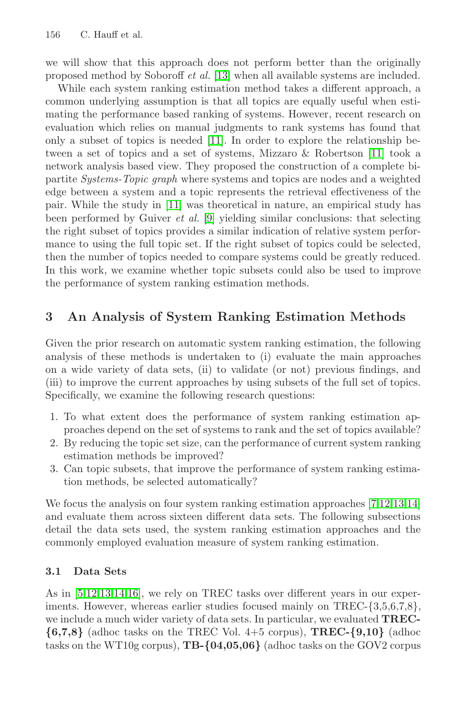we will show that this approach does not perfo[rm](#page-12-4) better than the originally proposed method by Soboroff *et al.* [13] when all available systems are included.

While each system ranking estimation method takes a different approach, a comm[on u](#page-12-4)nderlying assumption is that all topics are equally useful when estimating the per[fo](#page-12-8)rmance based ranking of systems. However, recent research on evaluation which relies on manual judgments to rank systems has found that only a subset of topics is needed [11]. In order to explore the relationship between a set of topics and a set of systems, Mizzaro & Robertson [11] took a network analysis based view. They proposed the construction of a complete bipartite *Systems-Topic graph* where systems and topics are nodes and a weighted edge between a system and a topic represents the retrieval effectiveness of the pair. While the study in [11] was theoretical in nature, an empirical study has been performed by Guiver *et al.* [9] yielding similar conclusions: that selecting the right subset of topics provides a similar indication of relative system performance to using the full topic set. If the right subset of topics could be selected, then the number of topics needed to compare systems could be greatly reduced. In this work, we examine whether topic subsets could also be used to improve the performance of system ranking estimation methods.

## <span id="page-3-0"></span>**3 An Analysis of System Ranking Estimation Methods**

Given the prior research on automatic system ranking estimation, the following analysis of these methods is undertaken to (i) evaluate the main approaches on a wide variety of data sets, (ii) to validate (or not) previous findings, and (iii) to improve the current approaches by using subsets of the full set of topics. Specifically, we examine the following research qu[es](#page-12-9)[tio](#page-12-7)[ns:](#page-12-0)

- 1. To what extent does the performance of system ranking estimation approaches depend on the set of systems to rank and the set of topics available?
- 2. By reducing the topic set size, can the performance of current system ranking estimation methods be improved?
- 3. Can topic subsets, that improve the performance of system ranking estimation methods, be selected automatically?

We focus the analysis on four system ranking estimation approaches [7,12,13,14] and evaluate them across sixteen different data sets. The following subsections detail the data sets used, the system ranking estimation approaches and the commonly employed evaluation measure of system ranking estimation.

#### **3.1 Data Sets**

As in [5,12,13,14,16], we rely on TREC tasks over different years in our experiments. However, whereas earlier studies focused mainly on TREC-{3,5,6,7,8}, we include a much wider variety of data sets. In particular, we evaluated **TREC-** *{***6,7,8***}* (adhoc tasks on the TREC Vol. 4+5 corpus), **TREC-***{***9,10***}* (adhoc tasks on the WT10g corpus), **TB-***{***04,05,06***}* (adhoc tasks on the GOV2 corpus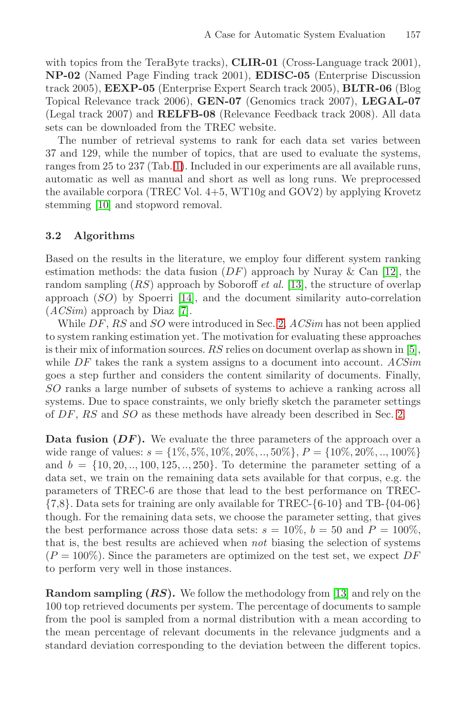with to[pic](#page-6-0)s from the TeraByte tracks), **CLIR-01** (Cross-Language track 2001), **NP-02** (Named Page Finding track 2001), **EDISC-05** (Enterprise Discussion track 2005), **EEXP-05** (Enterprise Expert Search track 2005), **BLTR-06** (Blog Topical Relevance track 2006), **GEN-07** (Genomics track 2007), **LEGAL-07** (Legal track 2007) and **RELFB-08** (Relevance Feedback track 2008). All data sets can be downloaded from the TREC website.

The number of retrieval systems to rank for each data set varies between 37 and 129, while the number of topics, that are used to evaluate the systems, ranges from 25 to 237 (Tab. 1). Included in our experi[men](#page-12-7)ts are all available runs, automatic as well as manual an[d s](#page-12-0)hort as well as long runs. We preprocessed the availa[ble](#page-12-1) corpora (TREC Vol. 4+5, WT10g and GOV2) by applying Krovetz stemmin[g \[1](#page-12-9)0] and stopword removal.

#### **3.2 Algorithms**

Based on the results in the literature, we employ four different system ranking estimation methods: the data fusion  $(DF)$  approach by Nuray & Can [12], the random sampling (RS) approach by Soboroff *et al.* [13], the structure of overlap approach (SO) by Spoerri [14], and the document similarity auto-correlation (*ACSim*) approach by Diaz [7].

While DF, RS and SO were introduced in Sec. 2, *AC[Sim](#page-1-1)* has not been applied to system ranking estimation yet. The motivation for evaluating these approaches is their mix of information sources.  $RS$  relies on document overlap as shown in [5], while DF takes the rank a system assigns to a document into account. *ACSim* goes a step further and considers the content similarity of documents. Finally, SO ranks a large number of subsets of systems to achieve a ranking across all systems. Due to space constraints, we only briefly sketch the parameter settings of DF, RS and SO as these methods have already been described in Sec. 2.

**Data fusion (DF).** We evaluate the three parameters of the approach over a wide range of values:  $s = \{1\%, 5\%, 10\%, 20\%, ..., 50\%\}, P = \{10\%, 20\%, ..., 100\%\}$ and  $b = \{10, 20, ..., 100, 125, ..., 250\}$ . To determine the parameter setting of a data set, we train on the remaining data sets available for that corpus, e.g. the parameters of TREC-6 are those that lea[d to](#page-12-0) the best performance on TREC- {7,8}. Data sets for training are only available for TREC-{6-10} and TB-{04-06} though. For the remaining data sets, we choose the parameter setting, that gives the best performance across those data sets:  $s = 10\%$ ,  $b = 50$  and  $P = 100\%$ . that is, the best results are achieved when *not* biasing the selection of systems  $(P = 100\%)$ . Since the parameters are optimized on the test set, we expect DF to perform very well in those instances.

**Random sampling (***RS***).** We follow the methodology from [13] and rely on the 100 top retrieved documents per system. The percentage of documents to sample from the pool is sampled from a normal distribution with a mean according to the mean percentage of relevant documents in the relevance judgments and a standard deviation corresponding to the deviation between the different topics.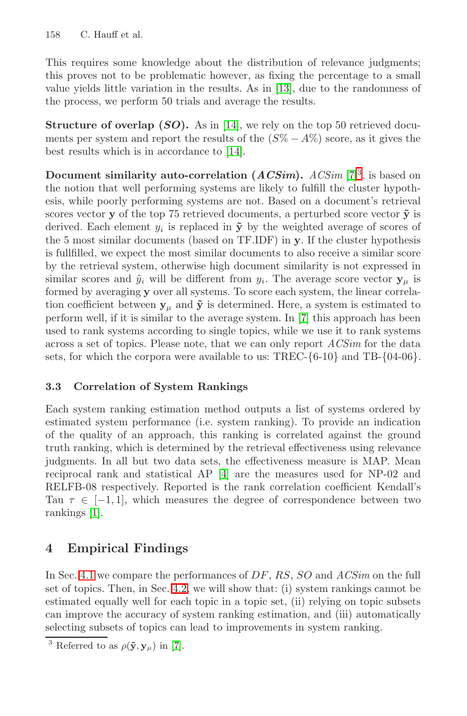This requires some knowledge about the distribution of relevance judgments; this proves not to be problematic however, [as](#page-12-9) [fi](#page-5-1)xing the percentage to a small value yields little variation in the results. As in [13], due to the randomness of the process, we perform 50 trials and average the results.

**Structure of overlap (***SO*). As in [14], we rely on the top 50 retrieved documents per system and report the results of the  $(S\% - A\%)$  score, as it gives the best results which is in accordance to [14].

**Document similarity auto-correlation (***ACSim***).** *ACSim* [7]<sup>3</sup>, is based on the notion that well performing systems are likely to fulfill the cluster hypothesis, while poorly performing systems are not. Based on a document's retrieval scores [ve](#page-12-9)ctor **y** of the top 75 retrieved documents, a perturbed score vector  $\tilde{\mathbf{y}}$  is derived. Each element  $y_i$  is replaced in  $\tilde{\mathbf{y}}$  by the weighted average of scores of the 5 most similar documents (based on TF.IDF) in **y**. If the cluster hypothesis is fullfilled, we expect the most similar documents to also receive a similar score by the retrieval system, otherwise high document similarity is not expressed in similar scores and  $\tilde{y}_i$  will be different from  $y_i$ . The average score vector  $\mathbf{y}_\mu$  is formed by averaging **y** over all systems. To score each system, the linear correlation coefficient between  $y_\mu$  and  $\tilde{y}$  is determined. Here, a system is estimated to perform well, if it is similar to the average system. In [7] this approach has been used to rank systems according to single topics, while we use it to rank systems across a set of topics. Please note, that we can only report *ACSim* for the data sets, for which the corpora were available to us: TREC-{6-10} and TB-{04-06}.

### **3.3 Correlation of System Rankings**

<span id="page-5-0"></span>Each system ranking estimation method outputs a list of systems ordered by estimated system performance (i.e. system ranking). To provide an indication of the quality of an approach, this ranking is correlated against the ground truth ranking, which is determined by the retrieval effectiveness using relevance judgments. In all but two data sets, the effectiveness measure is MAP. Mean reciprocal rank and statistical AP [4] are the measures used for NP-02 and RELF[B-08](#page-7-0) respectively. Reported is the rank correlation coefficient Kendall's Tau  $\tau \in [-1, 1]$ , which measures the degree of correspondence between two rankings [1].

## <span id="page-5-1"></span>**4 E[mp](#page-12-9)irical Findings**

In Sec. 4.1 we compare the performances of DF, RS, SO and *ACSim* on the full set of topics. Then, in Sec. 4.2, we will show that: (i) system rankings cannot be estimated equally well for each topic in a topic set, (ii) relying on topic subsets can improve the accuracy of system ranking estimation, and (iii) automatically selecting subsets of topics can lead to improvements in system ranking.

<sup>&</sup>lt;sup>3</sup> Referred to as  $\rho(\tilde{\mathbf{y}}, \mathbf{y}_{\mu})$  in [7].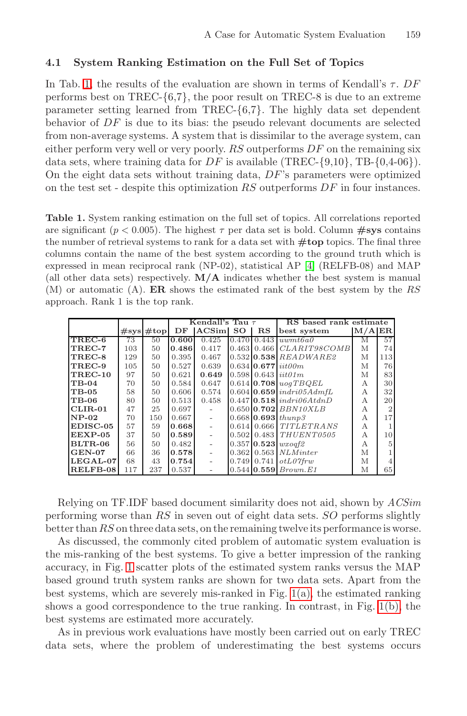#### <span id="page-6-1"></span>**4.1 System Ranking Estimation on the Full Set of Topics**

<span id="page-6-0"></span>In Tab. 1, the results of the evaluation are shown in terms of Kendall's  $\tau$ . DF performs best on TREC-{6,7}, the poor result on TREC-8 is due to an extreme parameter setting learned from TREC- $\{6,7\}$ . The highly data set dependent behavior of DF is due to its bias: the pseudo relevant documents are selected from non-average systems. A system that is dissimilar to the average system, can either perform very well or very poorly.  $RS$  outperforms  $DF$  on the remaining six data sets, where training data for  $DF$  $DF$  is available (TREC-{9,10}, TB-{0,4-06}). On the eight data sets without training data, DF's parameters were optimized on the test set - despite this optimization  $RS$  outperforms  $DF$  in four instances.

**Table 1.** System ranking estimation on the full set of topics. All correlations reported are significant ( $p < 0.005$ ). The highest  $\tau$  per data set is bold. Column  $\#sys$  contains the number of retrieval systems to rank for a data set with **#top** topics. The final three columns contain the name of the best system according to the ground truth which is expressed in mean reciprocal rank (NP-02), statistical AP [4] (RELFB-08) and MAP (all other data sets) respectively. **M/A** indicates whether the best system is manual (M) or automatic (A). **ER** shows the estimated rank of the best system by the RS approach. Rank 1 is the top rank.

|              |     |           | Kendall's Tau $\tau$ |          |  | RS based rank estimate |                                   |              |                |
|--------------|-----|-----------|----------------------|----------|--|------------------------|-----------------------------------|--------------|----------------|
|              |     | #sys #top | DF                   | ACSim SO |  | $_{\rm RS}$            | best system                       | $M/A$ ER     |                |
| TREC-6       | 73  | 50        | 0.600                | 0.425    |  | $0.470 \, 0.443$       | uwm t 6a0                         | М            | 57             |
| TREC-7       | 103 | 50        | 0.486                | 0.417    |  |                        | $0.463$ 0.466 <i>CLARIT98COMB</i> | М            | 74             |
| TREC-8       | 129 | 50        | 0.395                | 0.467    |  |                        | $0.532$ 0.538 READWARE2           | М            | 113            |
| TREC-9       | 105 | 50        | 0.527                | 0.639    |  |                        | $0.634$ 0.677 $i$ tt $00m$        | М            | 76             |
| TREC-10      | 97  | 50        | 0.621                | 0.649    |  |                        | $0.598$ 0.643 $i$ it $01m$        | М            | 83             |
| $TB-04$      | 70  | 50        | 0.584                | 0.647    |  |                        | $0.614$ 0.708 $uogTBOEL$          | $\mathsf{A}$ | 30             |
| $TB-0.5$     | 58  | 50        | 0.606                | 0.574    |  |                        | $0.604$ 0.659 indri $05AdmfL$     | A            | 32             |
| <b>TB-06</b> | 80  | 50        | 0.513                | 0.458    |  |                        | $0.447$ 0.518 indri06AtdnD        | A            | 20             |
| $CLIR-01$    | 47  | 25        | 0.697                |          |  |                        | $0.650$ 0.702 $BBN10XLB$          | A            | $\overline{2}$ |
| $NP-02$      | 70  | 150       | 0.667                |          |  |                        | $0.668$ 0.693 thunp3              | $\mathsf{A}$ | 17             |
| $EDISC-05$   | 57  | 59        | 0.668                |          |  |                        | $0.614$ 0.666 TITLETRANS          | $\mathsf{A}$ |                |
| $EEXP-0.5$   | 37  | 50        | 0.589                |          |  |                        | 0.502 0.483 THUENT0505            | $\mathsf{A}$ | 10             |
| BLTR-06      | 56  | 50        | 0.482                |          |  |                        | $0.357$ 0.523 $wxoqf2$            | A            | 5              |
| $GEN-07$     | 66  | 36        | 0.578                |          |  |                        | $0.362$ $0.563$ <i>NLMinter</i>   | М            |                |
| $LEGAL-07$   | 68  | 43        | 0.754                |          |  | 0.749 0.741            | $otL07$ frw                       | М            |                |
| RELFB-08     | 117 | 237       | 0.537                |          |  |                        | $0.544$ 0.559 Brown.E1            | М            | 65             |

Relying on TF.IDF based doc[umen](#page-7-1)t similarity d[oes no](#page-7-2)t aid, shown by *ACSim* performing worse than RS in seven out of eight data sets. SO performs slightly better than RS on three data sets, on the remaining twelve its performance is worse.

As discussed, the commonly cited problem of automatic system evaluation is the mis-ranking of the best systems. To give a better impression of the ranking accuracy, in Fig. 1 scatter plots of the estimated system ranks versus the MAP based ground truth system ranks are shown for two data sets. Apart from the best systems, which are severely mis-ranked in Fig. 1(a), the estimated ranking shows a good correspondence to the true ranking. In contrast, in Fig. 1(b), the best systems are estimated more accurately.

As in previous work evaluations have mostly been carried out on early TREC data sets, where the problem of underestimating the best systems occurs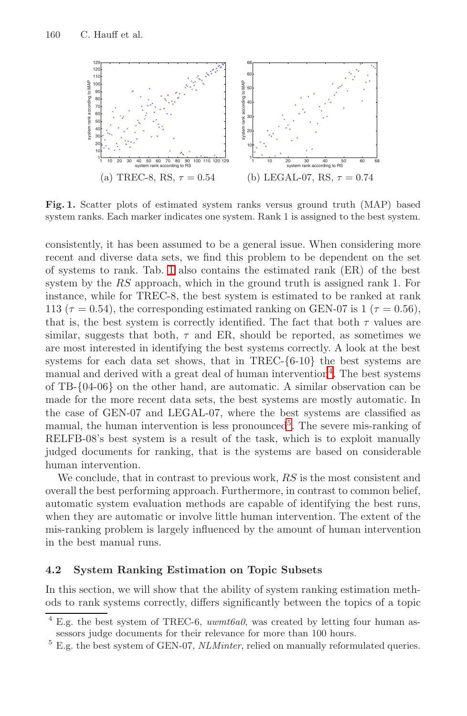<span id="page-7-2"></span><span id="page-7-1"></span>

Fig. 1. Scatter plots of estimated system ranks versus ground truth (MAP) based system ranks. Each marker indicates one system. Rank 1 is assigned to the best system.

consistently, it has been assumed to be a general issue. When considering more recent and diverse data sets, we find this problem to be dependent on the set of systems to rank. Tab. 1 also contain[s](#page-7-3) the estimated rank (ER) of the best system by the RS approach, which in the ground truth is assigned rank 1. For instance, while for TREC-8, the best system is estimated to be ranked at rank 113 ( $\tau = 0.54$ ), the corresponding estimated ranking on GEN-07 is 1 ( $\tau = 0.56$ ), that is, the best system is corr[ect](#page-7-4)ly identified. The fact that both  $\tau$  values are similar, suggests that both,  $\tau$  and ER, should be reported, as sometimes we are most interested in identifying the best systems correctly. A look at the best systems for each data set shows, that in TREC-{6-10} the best systems are manual and derived with a great deal of human intervention<sup>4</sup>. The best systems of TB-{04-06} on the other hand, are automatic. A similar observation can be made for the more recent data sets, the best systems are mostly automatic. In the case of GEN-07 and LEGAL-07, where the best systems are classified as manual, the human intervention is less pronounced<sup>5</sup>. The severe mis-ranking of RELFB-08's best system is a result of the task, which is to exploit manually judged documents for ranking, that is the systems are based on considerable human intervention.

<span id="page-7-0"></span>We conclude, that in contrast to previous work, RS is the most consistent and overall the best performing approach. Furthermore, in contrast to common belief, automatic system evaluation methods are capable of identifying the best runs, when they are automatic or involve little human intervention. The extent of the mis-ranking problem is largely influenced by the amount of human intervention in the best manual runs.

#### <span id="page-7-4"></span><span id="page-7-3"></span>**4.2 System Ranking Estimation on Topic Subsets**

In this section, we will show that the ability of system ranking estimation methods to rank systems correctly, differs significantly between the topics of a topic

<sup>4</sup> E.g. the best system of TREC-6, *uwmt6a0*, was created by letting four human assessors judge documents for their relevance for more than 100 hours.

<sup>&</sup>lt;sup>5</sup> E.g. the best system of GEN-07, *NLMinter*, relied on manually reformulated queries.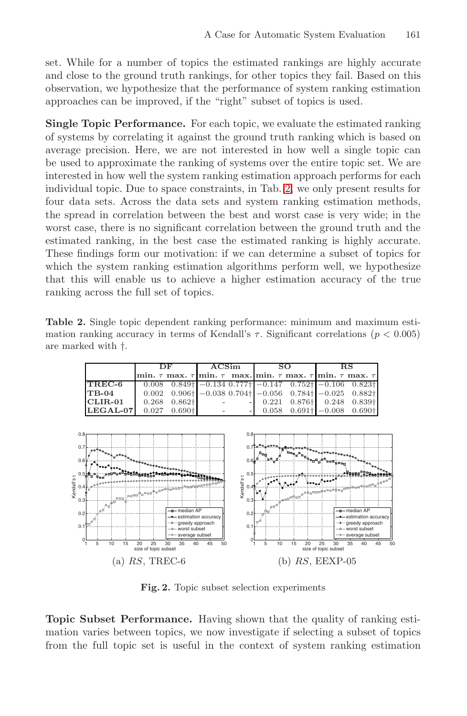set. While for a number of topics the estimated rankings are highly accurate and close to the ground truth rankings, for other topics they fail. Based on this observation, we hypothesize th[at](#page-8-0) the performance of system ranking estimation approaches can be improved, if the "right" subset of topics is used.

**Single Topic Performance.** For each topic, we evaluate the estimated ranking of systems by correlating it against the ground truth ranking which is based on average precision. Here, we are not interested in how well a single topic can be used to approximate the ranking of systems over the entire topic set. We are interested in how well the system ranking estimation approach performs for each individual topic. Due to space constraints, in Tab. 2, we only present results for four data sets. Across the data sets and system ranking estimation methods, the spread in correlation between the best and worst case is very wide; in the worst case, there is no significant correlation between the ground truth and the estimated ranking, in the best case the estimated ranking is highly accurate. These findings form our motivation: if we can determine a subset of topics for which the system ranking estimation algorithms perform well, we hypothesize that this will enable us to achieve a higher estimation accuracy of the true ranking across the full set of topics.

<span id="page-8-1"></span><span id="page-8-0"></span>**Table 2.** Single topic dependent ranking performance: minimum and maximum estimation ranking accuracy in terms of Kendall's  $\tau$ . Significant correlations ( $p < 0.005$ ) are marked with *†*.

|                       | DF |                        | $\operatorname{ACSim}$ |  | - SO |                                                                                                                        | <b>RS</b> |  |
|-----------------------|----|------------------------|------------------------|--|------|------------------------------------------------------------------------------------------------------------------------|-----------|--|
|                       |    |                        |                        |  |      | min. $\tau$ max. $\tau$ min. $\tau$ max. min. $\tau$ max. $\tau$ min. $\tau$ max. $\tau$                               |           |  |
| $\rm{TREC\text{-}6}$  |    |                        |                        |  |      | $\vert$ 0.008 0.849 <sup>†</sup> $\vert$ -0.134 0.777† $\vert$ -0.147 0.752† -0.106 0.823†                             |           |  |
| $TB-04$               |    |                        |                        |  |      | $0.002$ $0.906$ <sup>+</sup> $-0.038$ $0.704$ <sup>+</sup> $-0.056$ $0.784$ <sup>+</sup> $-0.025$ $0.882$ <sup>+</sup> |           |  |
| $CLIR-01$             |    | $0.268$ $0.862\dagger$ |                        |  |      | $-$ 0.221 0.876 <sup>†</sup> 0.248 0.839 <sup>†</sup>                                                                  |           |  |
| LEGAL-07 0.027 0.690+ |    |                        |                        |  |      | $-$ 0.058 0.691 <sup>+</sup> $-$ 0.008 0.690 <sup>+</sup>                                                              |           |  |

<span id="page-8-3"></span><span id="page-8-2"></span>

**Fig. 2.** Topic subset selection experiments

**Topic Subset Performance.** Having shown that the quality of ranking estimation varies between topics, we now investigate if selecting a subset of topics from the full topic set is useful in the context of system ranking estimation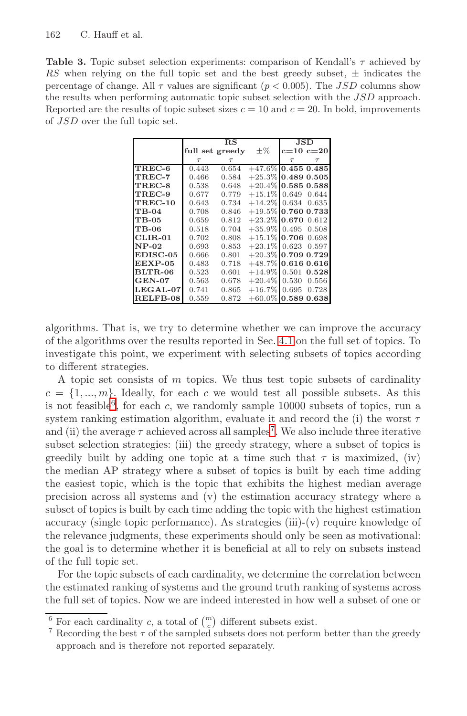**Table 3.** Topic subset selection experiments: comparison of Kendall's  $\tau$  achieved by RS when relying on the full topic set and the best greedy subset, *±* indicates the percentage of change. All  $\tau$  values are significant ( $p < 0.005$ ). The JSD columns show the results when performing automatic topic subset selection with the JSD approach. Reported are the results of topic subset sizes  $c = 10$  and  $c = 20$ . In bold, improvements of JSD over the full topic set.

|              |        | $_{\rm JSD}$    |           |               |             |
|--------------|--------|-----------------|-----------|---------------|-------------|
|              |        | full set greedy | $\pm\%$   | $c=10$ $c=20$ |             |
|              | $\tau$ | $\tau$          |           | $\tau$        | $\tau$      |
| TREC-6       | 0.443  | 0.654           | $+47.6\%$ |               | 0.455 0.485 |
| TREC-7       | 0.466  | 0.584           | $+25.3\%$ | 0.489 0.505   |             |
| TREC-8       | 0.538  | 0.648           | $+20.4\%$ | 0.585 0.588   |             |
| TREC-9       | 0.677  | 0.779           | $+15.1\%$ | 0.649         | 0.644       |
| $TREC-10$    | 0.643  | 0.734           | $+14.2\%$ | 0.634 0.635   |             |
| $TB-04$      | 0.708  | 0.846           | $+19.5\%$ | 0.760 0.733   |             |
| $TB-0.5$     | 0.659  | 0.812           | $+23.2\%$ | 0.670 0.612   |             |
| <b>TB-06</b> | 0.518  | 0.704           | $+35.9\%$ | 0.495         | 0.508       |
| $CLIR-01$    | 0.702  | 0.808           | $+15.1%$  | 0.706         | 0.698       |
| $NP-02$      | 0.693  | 0.853           | $+23.1\%$ | 0.623         | 0.597       |
| $EDISC-05$   | 0.666  | 0.801           | $+20.3\%$ | 0.709 0.729   |             |
| $EEXP-0.5$   | 0.483  | 0.718           | $+48.7\%$ | 0.6160.616    |             |
| BLTR-06      | 0.523  | 0.601           | $+14.9\%$ | 0.501         | 0.528       |
| $GEN-07$     | 0.563  | 0.678           | $+20.4\%$ | 0.530         | 0.556       |
| $LEGAL-07$   | 0.741  | 0.865           | $+16.7\%$ | 0.695         | 0.728       |
| RELFB-08     | 0.559  | 0.872           | $+60.0\%$ | 0.589         | 0.638       |

algorithms. That is, we try [to](#page-9-0) determine whether we can improve the accuracy of the algorithms over the results reported in Sec. 4.1 on the full set of topics. To investigate this point, we experiment with selecting subsets of topics according to different strategies.

A topic set consists of  $m$  topics. We thus test topic subsets of cardinality  $c = \{1, ..., m\}$ . Ideally, for each c we would test all possible subsets. As this is not feasible<sup>6</sup>, for each c, we randomly sample  $10000$  subsets of topics, run a system ranking estimation algorithm, evaluate it and record the (i) the worst  $\tau$ and (ii) the average  $\tau$  achieved across all samples<sup>7</sup>. We also include three iterative subset selection strategies: (iii) the greedy strategy, where a subset of topics is greedily built by adding one topic at a time such that  $\tau$  is maximized, (iv) the median AP strategy where a subset of topics is built by each time adding the easiest topic, which is the topic that exhibits the highest median average precision across all systems and (v) the estimation accuracy strategy where a subset of topics is built by each time adding the topic with the highest estimation accuracy (single topic performance). As strategies (iii)-(v) require knowledge of the relevance judgments, these experiments should only be seen as motivational: the goal is to determine whether it is beneficial at all to rely on subsets instead of the full topic set.

<span id="page-9-0"></span>For the topic subsets of each cardinality, we determine the correlation between the estimated ranking of systems and the ground truth ranking of systems across the full set of topics. Now we are indeed interested in how well a subset of one or

<sup>&</sup>lt;sup>6</sup> For each cardinality *c*, a total of  $\binom{m}{c}$  different subsets exist.

Recording the best  $\tau$  of the sampled subsets does not perform better than the greedy approach and is therefore not reported separately.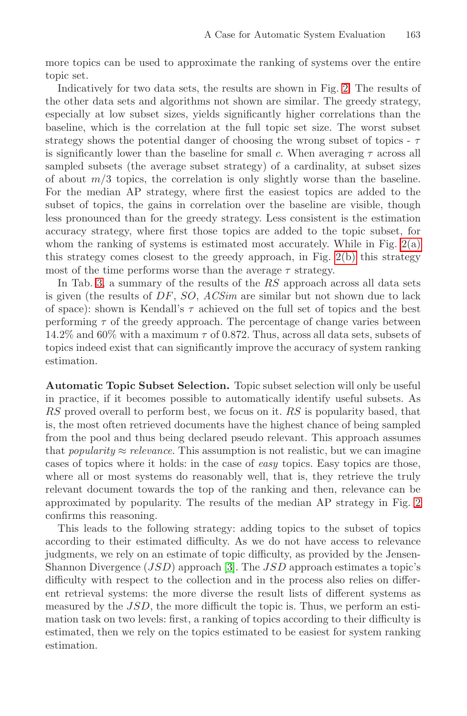more topics can be used to approximate the ranking of systems over the entire topic set.

Indicatively for two data sets, the results are shown in Fig. 2. The results of the other data sets and algorithms not shown are similar. The greedy strategy, especially at low subset sizes, yields significantly higher correlations than the baseline, which is the correlation at the full topic set size. The worst subset strategy shows the potential danger of choosing the wr[ong s](#page-8-1)ubset of topics  $-\tau$ is significantly lower than the baseline for [smal](#page-8-2)l c. When averaging  $\tau$  across all sampled subsets (the average subset strategy) of a cardinality, at subset sizes of about  $m/3$  topics, the correlation is only slightly worse than the baseline. For the median AP strategy, where first the easiest topics are added to the subset of topics, the gains in correlation over the baseline are visible, though less pronounced than for the greedy strategy. Less consistent is the estimation accuracy strategy, where first those topics are added to the topic subset, for whom the ranking of systems is estimated most accurately. While in Fig.  $2(a)$ this strategy comes closest to the greedy approach, in Fig. 2(b) this strategy most of the time performs worse than the average  $\tau$  strategy.

In Tab. 3, a summary of the results of the RS approach across all data sets is given (the results of DF, SO, *ACSim* are similar but not shown due to lack of space): shown is Kendall's  $\tau$  achieved on the full set of topics and the best performing  $\tau$  of the greedy approach. The percentage of change varies between  $14.2\%$  and 60% with a maximum  $\tau$  of 0.872. Thus, across all data sets, subsets of topics indeed exist that can significantly improve the accuracy of system ranking estimation.

**Automatic Topic Subset Selection.** Topic subset selection will only be useful in practice, if it becomes possible to automatically identif[y](#page-8-3) useful subsets. As RS proved overall to perform best, we focus on it. RS is popularity based, that is, the most often retrieved documents have the highest chance of being sampled from the pool and thus being declared pseudo relevant. This approach assumes that *popularity*  $\approx$  *relevance*. This assumption is not realistic, but we can imagine cases of topics whe[re](#page-11-4) it holds: in the case of *easy* topics. Easy topics are those, where all or most systems do reasonably well, that is, they retrieve the truly relevant document towards the top of the ranking and then, relevance can be approximated by popularity. The results of the median AP strategy in Fig. 2 confirms this reasoning.

This leads to the following strategy: adding topics to the subset of topics according to their estimated difficulty. As we do not have access to relevance judgments, we rely on an estimate of topic difficulty, as provided by the Jensen-Shannon Divergence  $(JSD)$  approach [3]. The  $JSD$  approach estimates a topic's difficulty with respect to the collection and in the process also relies on different retrieval systems: the more diverse the result lists of different systems as measured by the JSD, the more difficult the topic is. Thus, we perform an estimation task on two levels: first, a ranking of topics according to their difficulty is estimated, then we rely on the topics estimated to be easiest for system ranking estimation.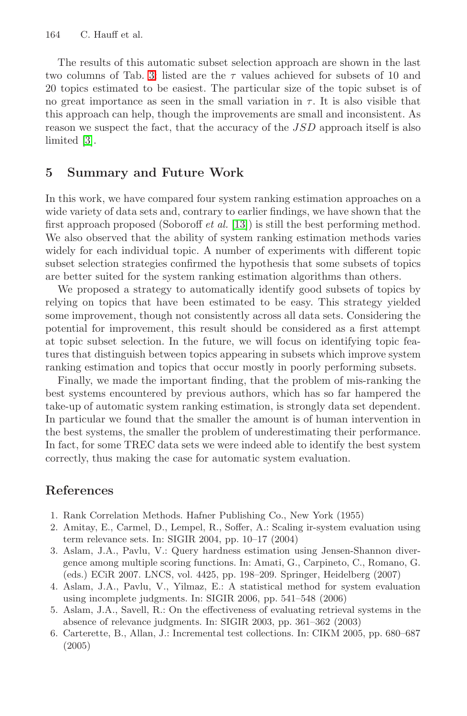<span id="page-11-0"></span>The results of this automatic subset selection approach are shown in the last two columns of Tab. 3: listed are the  $\tau$  values achieved for subsets of 10 and 20 topics estimated to be easiest. The particular size of the topic subset is of no great importance as seen in the small variation in  $\tau$ . It is also visible that this approach can help, though the improvements are small and inconsistent. As r[e](#page-12-0)ason we suspect the [fa](#page-12-0)ct, that the accuracy of the  $JSD$  approach itself is also limited [3].

### **5 Summary and Future Work**

In this work, we have compared four system ranking estimation approaches on a wide variety of data sets and, contrary to earlier findings, we have shown that the first approach proposed (Soboroff *et al.* [13]) is still the best performing method. We also observed that the ability of system ranking estimation methods varies widely for each individual topic. A number of experiments with different topic subset selection strategies confirmed the hypothesis that some subsets of topics are better suited for the system ranking estimation algorithms than others.

We proposed a strategy to automatically identify good subsets of topics by relying on topics that have been estimated to be easy. This strategy yielded some improvement, though not consistently across all data sets. Considering the potential for improvement, this result should be considered as a first attempt at topic subset selection. In the future, we will focus on identifying topic features that distinguish between topics appearing in subsets which improve system ranking estimation and topics that occur mostly in poorly performing subsets.

Finally, we made the important finding, that the problem of mis-ranking the best systems encountered by previous authors, which has so far hampered the take-up of automatic system ranking estimation, is strongly data set dependent. In particular we found that the smaller the amount is of human intervention in the best systems, the smaller the problem of underestimating their performance. In fact, for some TREC data sets we were indeed able to identify the best system correctly, thus making the case for automatic system evaluation.

### <span id="page-11-4"></span><span id="page-11-3"></span><span id="page-11-2"></span>**References**

- 1. Rank Correlation Methods. Hafner Publishing Co., New York (1955)
- <span id="page-11-1"></span>2. Amitay, E., Carmel, D., Lempel, R., Soffer, A.: Scaling ir-system evaluation using term relevance sets. In: SIGIR 2004, pp. 10–17 (2004)
- 3. Aslam, J.A., Pavlu, V.: Query hardness estimation using Jensen-Shannon divergence among multiple scoring functions. In: Amati, G., Carpineto, C., Romano, G. (eds.) ECiR 2007. LNCS, vol. 4425, pp. 198–209. Springer, Heidelberg (2007)
- 4. Aslam, J.A., Pavlu, V., Yilmaz, E.: A statistical method for system evaluation using incomplete judgments. In: SIGIR 2006, pp. 541–548 (2006)
- 5. Aslam, J.A., Savell, R.: On the effectiveness of evaluating retrieval systems in the absence of relevance judgments. In: SIGIR 2003, pp. 361–362 (2003)
- 6. Carterette, B., Allan, J.: Incremental test collections. In: CIKM 2005, pp. 680–687 (2005)